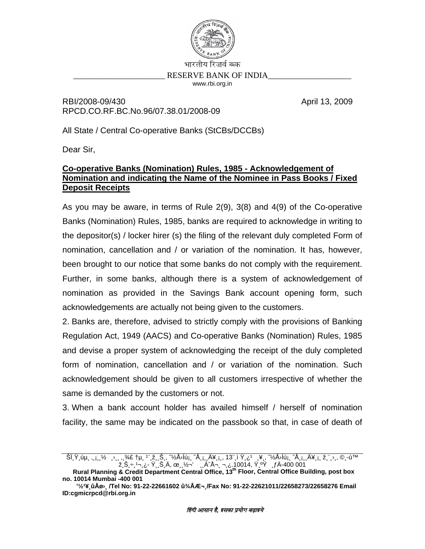

RBI/2008-09/430 RPCD.CO.RF.BC.No.96/07.38.01/2008-09 April 13, 2009

All State / Central Co-operative Banks (StCBs/DCCBs)

Dear Sir.

## Co-operative Banks (Nomination) Rules, 1985 - Acknowledgement of Nomination and indicating the Name of the Nominee in Pass Books / Fixed **Deposit Receipts**

As you may be aware, in terms of Rule 2(9), 3(8) and 4(9) of the Co-operative Banks (Nomination) Rules, 1985, banks are required to acknowledge in writing to the depositor(s) / locker hirer (s) the filing of the relevant duly completed Form of nomination, cancellation and / or variation of the nomination. It has, however, been brought to our notice that some banks do not comply with the requirement. Further, in some banks, although there is a system of acknowledgement of nomination as provided in the Savings Bank account opening form, such acknowledgements are actually not being given to the customers.

2. Banks are, therefore, advised to strictly comply with the provisions of Banking Regulation Act, 1949 (AACS) and Co-operative Banks (Nomination) Rules, 1985 and devise a proper system of acknowledging the receipt of the duly completed form of nomination, cancellation and / or variation of the nomination. Such acknowledgement should be given to all customers irrespective of whether the same is demanded by the customers or not.

3. When a bank account holder has availed himself / herself of nomination facility, the same may be indicated on the passbook so that, in case of death of

no. 10014 Mumbai -400 001

<sup>&#</sup>x27;½'¥ ûÅø› ِ /Tel No: 91-22-22661602 û¾ÅƬ /Fax No: 91-22-22621011/22658273/22658276 Email ID:cgmicrpcd@rbi.org.in